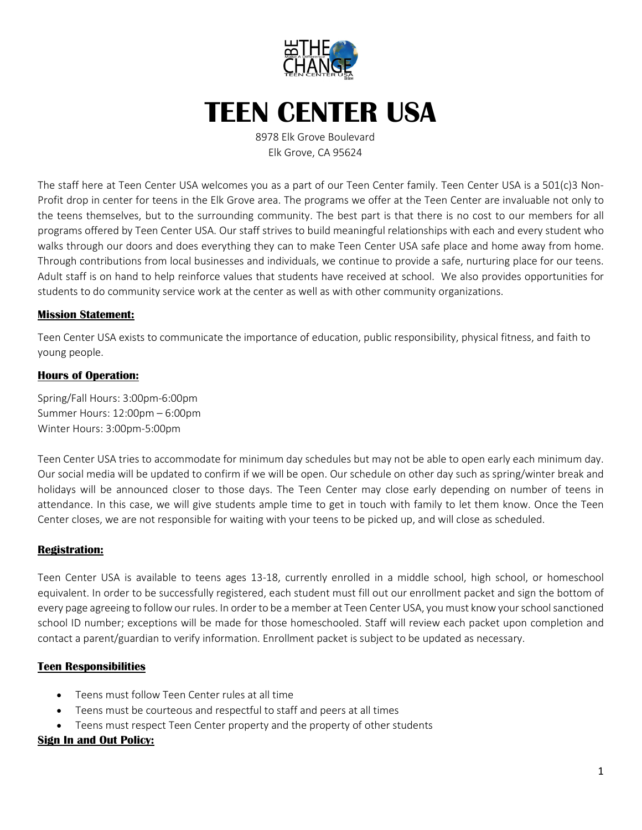

## **TEEN CENTER USA**

8978 Elk Grove Boulevard Elk Grove, CA 95624

The staff here at Teen Center USA welcomes you as a part of our Teen Center family. Teen Center USA is a 501(c)3 Non-Profit drop in center for teens in the Elk Grove area. The programs we offer at the Teen Center are invaluable not only to the teens themselves, but to the surrounding community. The best part is that there is no cost to our members for all programs offered by Teen Center USA. Our staff strives to build meaningful relationships with each and every student who walks through our doors and does everything they can to make Teen Center USA safe place and home away from home. Through contributions from local businesses and individuals, we continue to provide a safe, nurturing place for our teens. Adult staff is on hand to help reinforce values that students have received at school. We also provides opportunities for students to do community service work at the center as well as with other community organizations.

#### **Mission Statement:**

Teen Center USA exists to communicate the importance of education, public responsibility, physical fitness, and faith to young people.

#### **Hours of Operation:**

Spring/Fall Hours: 3:00pm-6:00pm Summer Hours: 12:00pm – 6:00pm Winter Hours: 3:00pm-5:00pm

Teen Center USA tries to accommodate for minimum day schedules but may not be able to open early each minimum day. Our social media will be updated to confirm if we will be open. Our schedule on other day such as spring/winter break and holidays will be announced closer to those days. The Teen Center may close early depending on number of teens in attendance. In this case, we will give students ample time to get in touch with family to let them know. Once the Teen Center closes, we are not responsible for waiting with your teens to be picked up, and will close as scheduled.

#### **Registration:**

Teen Center USA is available to teens ages 13-18, currently enrolled in a middle school, high school, or homeschool equivalent. In order to be successfully registered, each student must fill out our enrollment packet and sign the bottom of every page agreeing to follow our rules. In order to be a member at Teen Center USA, you must know your school sanctioned school ID number; exceptions will be made for those homeschooled. Staff will review each packet upon completion and contact a parent/guardian to verify information. Enrollment packet is subject to be updated as necessary.

#### **Teen Responsibilities**

- Teens must follow Teen Center rules at all time
- Teens must be courteous and respectful to staff and peers at all times
- Teens must respect Teen Center property and the property of other students

#### **Sign In and Out Policy:**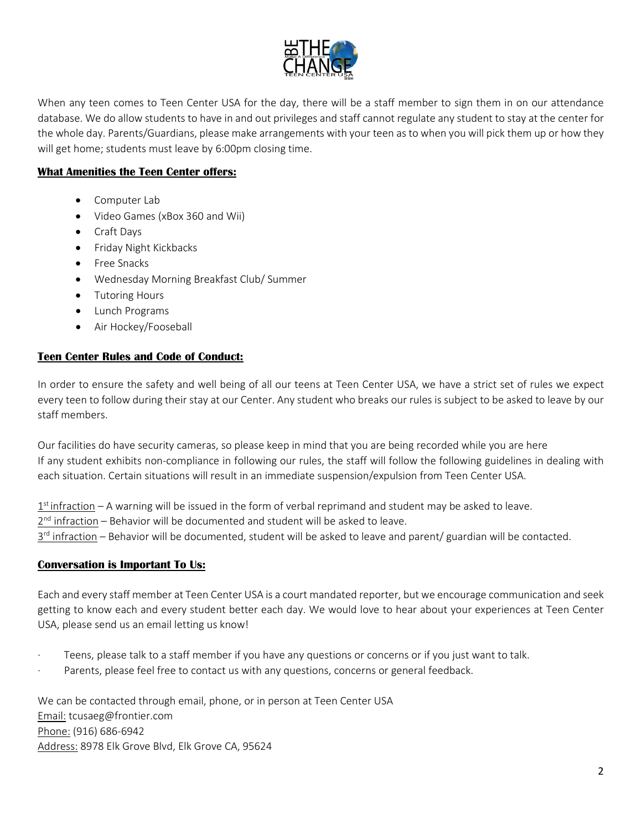

When any teen comes to Teen Center USA for the day, there will be a staff member to sign them in on our attendance database. We do allow students to have in and out privileges and staff cannot regulate any student to stay at the center for the whole day. Parents/Guardians, please make arrangements with your teen as to when you will pick them up or how they will get home; students must leave by 6:00pm closing time.

#### **What Amenities the Teen Center offers:**

- Computer Lab
- Video Games (xBox 360 and Wii)
- Craft Days
- Friday Night Kickbacks
- Free Snacks
- Wednesday Morning Breakfast Club/ Summer
- Tutoring Hours
- Lunch Programs
- Air Hockey/Fooseball

#### **Teen Center Rules and Code of Conduct:**

In order to ensure the safety and well being of all our teens at Teen Center USA, we have a strict set of rules we expect every teen to follow during their stay at our Center. Any student who breaks our rules is subject to be asked to leave by our staff members.

Our facilities do have security cameras, so please keep in mind that you are being recorded while you are here If any student exhibits non-compliance in following our rules, the staff will follow the following guidelines in dealing with each situation. Certain situations will result in an immediate suspension/expulsion from Teen Center USA.

 $1<sup>st</sup>$  infraction – A warning will be issued in the form of verbal reprimand and student may be asked to leave.

2<sup>nd</sup> infraction – Behavior will be documented and student will be asked to leave.

3<sup>rd</sup> infraction – Behavior will be documented, student will be asked to leave and parent/ guardian will be contacted.

#### **Conversation is Important To Us:**

Each and every staff member at Teen Center USA is a court mandated reporter, but we encourage communication and seek getting to know each and every student better each day. We would love to hear about your experiences at Teen Center USA, please send us an email letting us know!

- Teens, please talk to a staff member if you have any questions or concerns or if you just want to talk.
- Parents, please feel free to contact us with any questions, concerns or general feedback.

We can be contacted through email, phone, or in person at Teen Center USA Email: tcusaeg@frontier.com Phone: (916) 686-6942 Address: 8978 Elk Grove Blvd, Elk Grove CA, 95624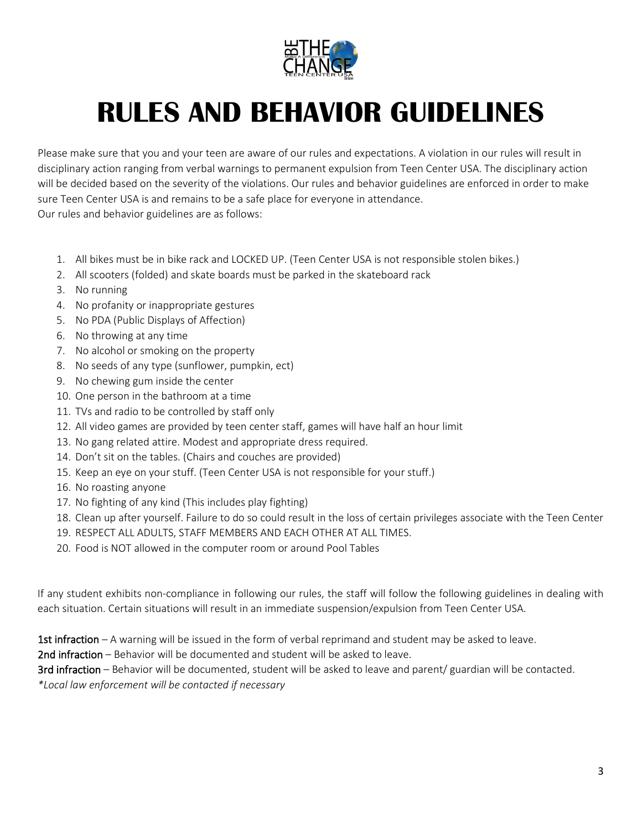

# **RULES AND BEHAVIOR GUIDELINES**

Please make sure that you and your teen are aware of our rules and expectations. A violation in our rules will result in disciplinary action ranging from verbal warnings to permanent expulsion from Teen Center USA. The disciplinary action will be decided based on the severity of the violations. Our rules and behavior guidelines are enforced in order to make sure Teen Center USA is and remains to be a safe place for everyone in attendance. Our rules and behavior guidelines are as follows:

- 1. All bikes must be in bike rack and LOCKED UP. (Teen Center USA is not responsible stolen bikes.)
- 2. All scooters (folded) and skate boards must be parked in the skateboard rack
- 3. No running
- 4. No profanity or inappropriate gestures
- 5. No PDA (Public Displays of Affection)
- 6. No throwing at any time
- 7. No alcohol or smoking on the property
- 8. No seeds of any type (sunflower, pumpkin, ect)
- 9. No chewing gum inside the center
- 10. One person in the bathroom at a time
- 11. TVs and radio to be controlled by staff only
- 12. All video games are provided by teen center staff, games will have half an hour limit
- 13. No gang related attire. Modest and appropriate dress required.
- 14. Don't sit on the tables. (Chairs and couches are provided)
- 15. Keep an eye on your stuff. (Teen Center USA is not responsible for your stuff.)
- 16. No roasting anyone
- 17. No fighting of any kind (This includes play fighting)
- 18. Clean up after yourself. Failure to do so could result in the loss of certain privileges associate with the Teen Center
- 19. RESPECT ALL ADULTS, STAFF MEMBERS AND EACH OTHER AT ALL TIMES.
- 20. Food is NOT allowed in the computer room or around Pool Tables

If any student exhibits non-compliance in following our rules, the staff will follow the following guidelines in dealing with each situation. Certain situations will result in an immediate suspension/expulsion from Teen Center USA.

1st infraction – A warning will be issued in the form of verbal reprimand and student may be asked to leave.

2nd infraction – Behavior will be documented and student will be asked to leave.

3rd infraction – Behavior will be documented, student will be asked to leave and parent/ guardian will be contacted. *\*Local law enforcement will be contacted if necessary*